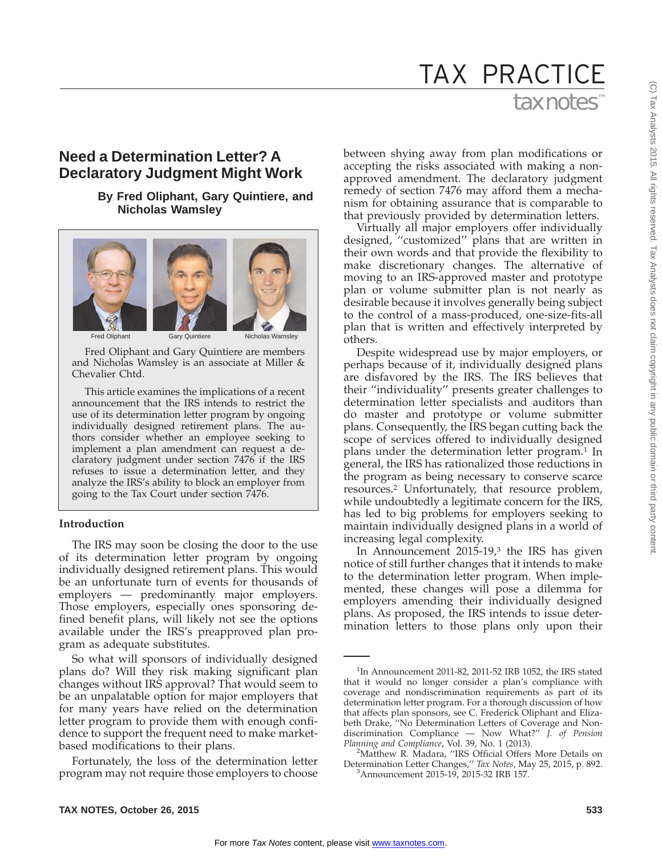# tax notes TAX PRACTICE

# **Need a Determination Letter? A Declaratory Judgment Might Work**

# **By Fred Oliphant, Gary Quintiere, and Nicholas Wamsley**



Fred Oliphant and Gary Quintiere are members and Nicholas Wamsley is an associate at Miller & Chevalier Chtd.

This article examines the implications of a recent announcement that the IRS intends to restrict the use of its determination letter program by ongoing individually designed retirement plans. The authors consider whether an employee seeking to implement a plan amendment can request a declaratory judgment under section 7476 if the IRS refuses to issue a determination letter, and they analyze the IRS's ability to block an employer from going to the Tax Court under section 7476.

# **Introduction**

The IRS may soon be closing the door to the use of its determination letter program by ongoing individually designed retirement plans. This would be an unfortunate turn of events for thousands of employers — predominantly major employers. Those employers, especially ones sponsoring defined benefit plans, will likely not see the options available under the IRS's preapproved plan program as adequate substitutes.

So what will sponsors of individually designed plans do? Will they risk making significant plan changes without IRS approval? That would seem to be an unpalatable option for major employers that for many years have relied on the determination letter program to provide them with enough confidence to support the frequent need to make marketbased modifications to their plans.

Fortunately, the loss of the determination letter program may not require those employers to choose

between shying away from plan modifications or accepting the risks associated with making a nonapproved amendment. The declaratory judgment remedy of section 7476 may afford them a mechanism for obtaining assurance that is comparable to that previously provided by determination letters.

Virtually all major employers offer individually designed, ''customized'' plans that are written in their own words and that provide the flexibility to make discretionary changes. The alternative of moving to an IRS-approved master and prototype plan or volume submitter plan is not nearly as desirable because it involves generally being subject to the control of a mass-produced, one-size-fits-all plan that is written and effectively interpreted by others.

Despite widespread use by major employers, or perhaps because of it, individually designed plans are disfavored by the IRS. The IRS believes that their ''individuality'' presents greater challenges to determination letter specialists and auditors than do master and prototype or volume submitter plans. Consequently, the IRS began cutting back the scope of services offered to individually designed plans under the determination letter program.<sup>1</sup> In general, the IRS has rationalized those reductions in the program as being necessary to conserve scarce resources.2 Unfortunately, that resource problem, while undoubtedly a legitimate concern for the IRS, has led to big problems for employers seeking to maintain individually designed plans in a world of increasing legal complexity.

In Announcement  $2015-19<sup>3</sup>$ , the IRS has given notice of still further changes that it intends to make to the determination letter program. When implemented, these changes will pose a dilemma for employers amending their individually designed plans. As proposed, the IRS intends to issue determination letters to those plans only upon their

<sup>&</sup>lt;sup>1</sup>In Announcement 2011-82, 2011-52 IRB 1052, the IRS stated that it would no longer consider a plan's compliance with coverage and nondiscrimination requirements as part of its determination letter program. For a thorough discussion of how that affects plan sponsors, see C. Frederick Oliphant and Elizabeth Drake, "No Determination Letters of Coverage and Nondiscrimination Compliance — Now What?'' *J. of Pension Planning and Compliance*, Vol. 39, No. 1 (2013). <sup>2</sup>

Matthew R. Madara, ''IRS Official Offers More Details on Determination Letter Changes,'' *Tax Notes*, May 25, 2015, p. 892. <sup>3</sup> Announcement 2015-19, 2015-32 IRB 157.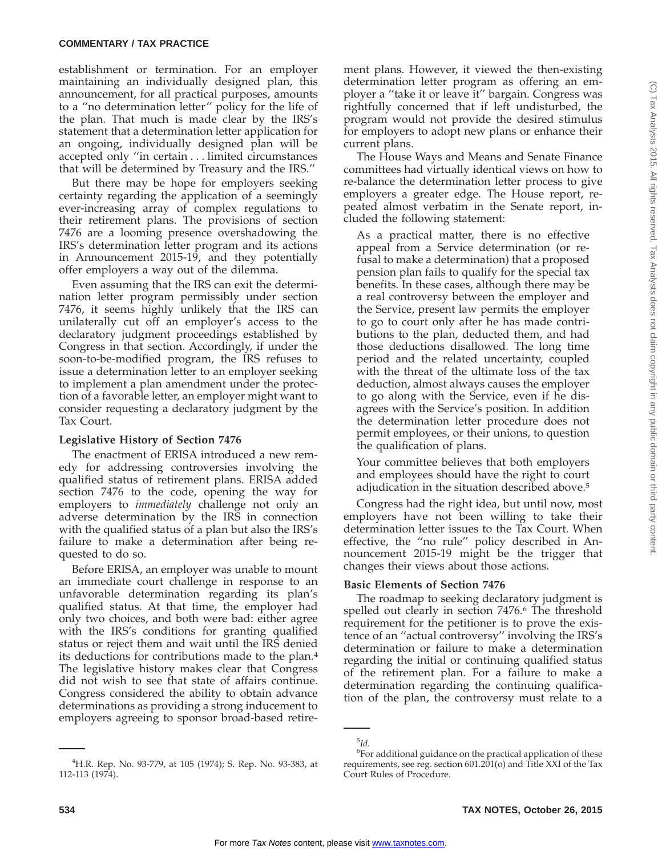establishment or termination. For an employer maintaining an individually designed plan, this announcement, for all practical purposes, amounts to a ''no determination letter'' policy for the life of the plan. That much is made clear by the IRS's statement that a determination letter application for an ongoing, individually designed plan will be accepted only ''in certain... limited circumstances that will be determined by Treasury and the IRS.''

But there may be hope for employers seeking certainty regarding the application of a seemingly ever-increasing array of complex regulations to their retirement plans. The provisions of section 7476 are a looming presence overshadowing the IRS's determination letter program and its actions in Announcement 2015-19, and they potentially offer employers a way out of the dilemma.

Even assuming that the IRS can exit the determination letter program permissibly under section 7476, it seems highly unlikely that the IRS can unilaterally cut off an employer's access to the declaratory judgment proceedings established by Congress in that section. Accordingly, if under the soon-to-be-modified program, the IRS refuses to issue a determination letter to an employer seeking to implement a plan amendment under the protection of a favorable letter, an employer might want to consider requesting a declaratory judgment by the Tax Court.

# **Legislative History of Section 7476**

The enactment of ERISA introduced a new remedy for addressing controversies involving the qualified status of retirement plans. ERISA added section 7476 to the code, opening the way for employers to *immediately* challenge not only an adverse determination by the IRS in connection with the qualified status of a plan but also the IRS's failure to make a determination after being requested to do so.

Before ERISA, an employer was unable to mount an immediate court challenge in response to an unfavorable determination regarding its plan's qualified status. At that time, the employer had only two choices, and both were bad: either agree with the IRS's conditions for granting qualified status or reject them and wait until the IRS denied its deductions for contributions made to the plan.4 The legislative history makes clear that Congress did not wish to see that state of affairs continue. Congress considered the ability to obtain advance determinations as providing a strong inducement to employers agreeing to sponsor broad-based retirement plans. However, it viewed the then-existing determination letter program as offering an employer a ''take it or leave it'' bargain. Congress was rightfully concerned that if left undisturbed, the program would not provide the desired stimulus for employers to adopt new plans or enhance their current plans.

The House Ways and Means and Senate Finance committees had virtually identical views on how to re-balance the determination letter process to give employers a greater edge. The House report, repeated almost verbatim in the Senate report, included the following statement:

As a practical matter, there is no effective appeal from a Service determination (or refusal to make a determination) that a proposed pension plan fails to qualify for the special tax benefits. In these cases, although there may be a real controversy between the employer and the Service, present law permits the employer to go to court only after he has made contributions to the plan, deducted them, and had those deductions disallowed. The long time period and the related uncertainty, coupled with the threat of the ultimate loss of the tax deduction, almost always causes the employer to go along with the Service, even if he disagrees with the Service's position. In addition the determination letter procedure does not permit employees, or their unions, to question the qualification of plans.

Your committee believes that both employers and employees should have the right to court adjudication in the situation described above.5

Congress had the right idea, but until now, most employers have not been willing to take their determination letter issues to the Tax Court. When effective, the ''no rule'' policy described in Announcement 2015-19 might be the trigger that changes their views about those actions.

# **Basic Elements of Section 7476**

The roadmap to seeking declaratory judgment is spelled out clearly in section 7476.6 The threshold requirement for the petitioner is to prove the existence of an ''actual controversy'' involving the IRS's determination or failure to make a determination regarding the initial or continuing qualified status of the retirement plan. For a failure to make a determination regarding the continuing qualification of the plan, the controversy must relate to a

<sup>4</sup> H.R. Rep. No. 93-779, at 105 (1974); S. Rep. No. 93-383, at 112-113 (1974).

<sup>5</sup> *Id.*

<sup>&</sup>lt;sup>6</sup>For additional guidance on the practical application of these requirements, see reg. section 601.201(o) and Title XXI of the Tax Court Rules of Procedure.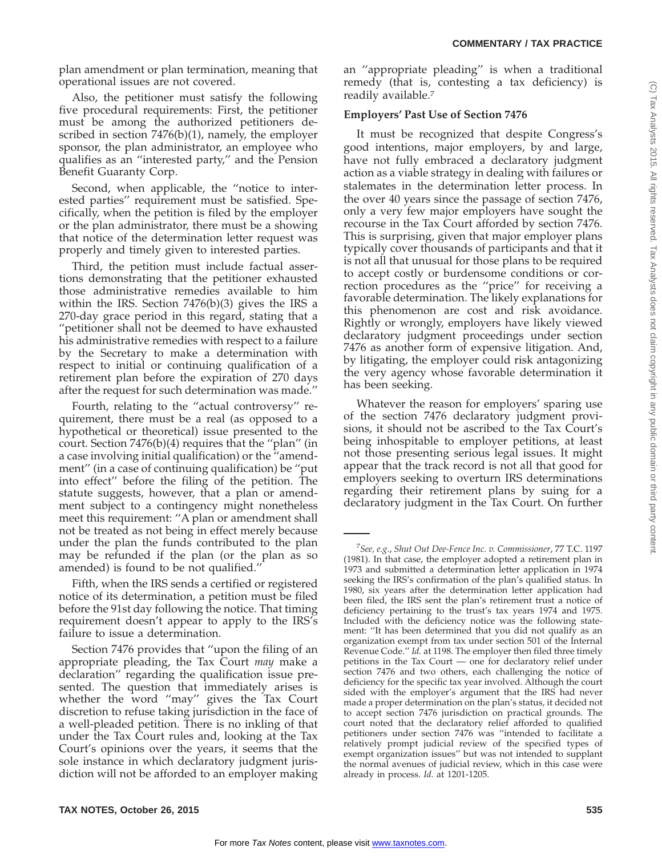plan amendment or plan termination, meaning that operational issues are not covered.

Also, the petitioner must satisfy the following five procedural requirements: First, the petitioner must be among the authorized petitioners described in section 7476(b)(1), namely, the employer sponsor, the plan administrator, an employee who qualifies as an ''interested party,'' and the Pension Benefit Guaranty Corp.

Second, when applicable, the ''notice to interested parties'' requirement must be satisfied. Specifically, when the petition is filed by the employer or the plan administrator, there must be a showing that notice of the determination letter request was properly and timely given to interested parties.

Third, the petition must include factual assertions demonstrating that the petitioner exhausted those administrative remedies available to him within the IRS. Section 7476(b)(3) gives the IRS a 270-day grace period in this regard, stating that a ''petitioner shall not be deemed to have exhausted his administrative remedies with respect to a failure by the Secretary to make a determination with respect to initial or continuing qualification of a retirement plan before the expiration of 270 days after the request for such determination was made.''

Fourth, relating to the ''actual controversy'' requirement, there must be a real (as opposed to a hypothetical or theoretical) issue presented to the court. Section 7476(b)(4) requires that the ''plan'' (in a case involving initial qualification) or the ''amendment'' (in a case of continuing qualification) be ''put into effect'' before the filing of the petition. The statute suggests, however, that a plan or amendment subject to a contingency might nonetheless meet this requirement: ''A plan or amendment shall not be treated as not being in effect merely because under the plan the funds contributed to the plan may be refunded if the plan (or the plan as so amended) is found to be not qualified.''

Fifth, when the IRS sends a certified or registered notice of its determination, a petition must be filed before the 91st day following the notice. That timing requirement doesn't appear to apply to the IRS's failure to issue a determination.

Section 7476 provides that ''upon the filing of an appropriate pleading, the Tax Court *may* make a declaration'' regarding the qualification issue presented. The question that immediately arises is whether the word ''may'' gives the Tax Court discretion to refuse taking jurisdiction in the face of a well-pleaded petition. There is no inkling of that under the Tax Court rules and, looking at the Tax Court's opinions over the years, it seems that the sole instance in which declaratory judgment jurisdiction will not be afforded to an employer making an ''appropriate pleading'' is when a traditional remedy (that is, contesting a tax deficiency) is readily available.7

# **Employers' Past Use of Section 7476**

It must be recognized that despite Congress's good intentions, major employers, by and large, have not fully embraced a declaratory judgment action as a viable strategy in dealing with failures or stalemates in the determination letter process. In the over 40 years since the passage of section 7476, only a very few major employers have sought the recourse in the Tax Court afforded by section 7476. This is surprising, given that major employer plans typically cover thousands of participants and that it is not all that unusual for those plans to be required to accept costly or burdensome conditions or correction procedures as the ''price'' for receiving a favorable determination. The likely explanations for this phenomenon are cost and risk avoidance. Rightly or wrongly, employers have likely viewed declaratory judgment proceedings under section 7476 as another form of expensive litigation. And, by litigating, the employer could risk antagonizing the very agency whose favorable determination it has been seeking.

Whatever the reason for employers' sparing use of the section 7476 declaratory judgment provisions, it should not be ascribed to the Tax Court's being inhospitable to employer petitions, at least not those presenting serious legal issues. It might appear that the track record is not all that good for employers seeking to overturn IRS determinations regarding their retirement plans by suing for a declaratory judgment in the Tax Court. On further

<sup>7</sup> *See, e.g.*, *Shut Out Dee-Fence Inc. v. Commissioner*, 77 T.C. 1197 (1981). In that case, the employer adopted a retirement plan in 1973 and submitted a determination letter application in 1974 seeking the IRS's confirmation of the plan's qualified status. In 1980, six years after the determination letter application had been filed, the IRS sent the plan's retirement trust a notice of deficiency pertaining to the trust's tax years 1974 and 1975. Included with the deficiency notice was the following statement: ''It has been determined that you did not qualify as an organization exempt from tax under section 501 of the Internal Revenue Code.'' *Id.* at 1198. The employer then filed three timely petitions in the Tax Court — one for declaratory relief under section 7476 and two others, each challenging the notice of deficiency for the specific tax year involved. Although the court sided with the employer's argument that the IRS had never made a proper determination on the plan's status, it decided not to accept section 7476 jurisdiction on practical grounds. The court noted that the declaratory relief afforded to qualified petitioners under section 7476 was ''intended to facilitate a relatively prompt judicial review of the specified types of exempt organization issues'' but was not intended to supplant the normal avenues of judicial review, which in this case were already in process. *Id.* at 1201-1205.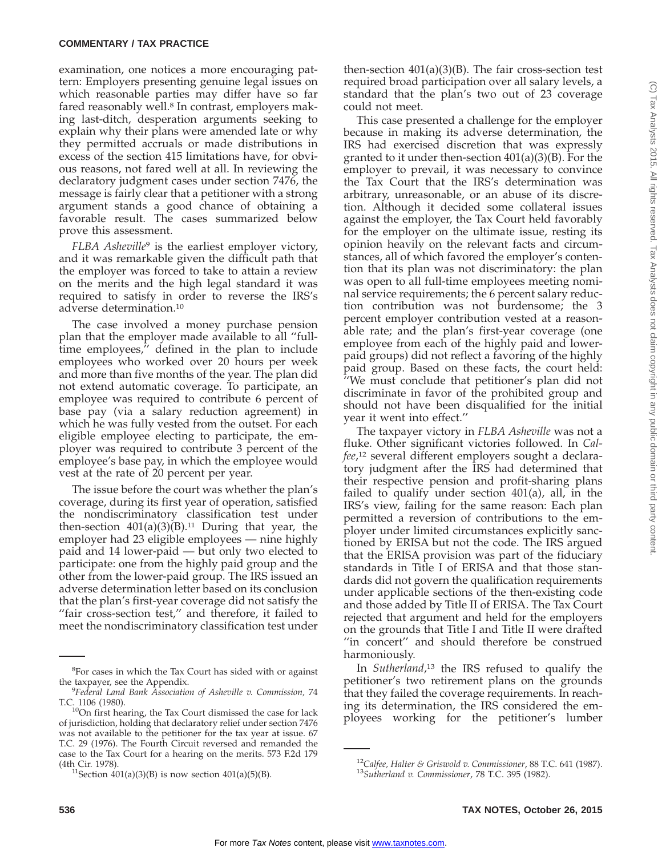# **COMMENTARY / TAX PRACTICE**

examination, one notices a more encouraging pattern: Employers presenting genuine legal issues on which reasonable parties may differ have so far fared reasonably well.<sup>8</sup> In contrast, employers making last-ditch, desperation arguments seeking to explain why their plans were amended late or why they permitted accruals or made distributions in excess of the section 415 limitations have, for obvious reasons, not fared well at all. In reviewing the declaratory judgment cases under section 7476, the message is fairly clear that a petitioner with a strong argument stands a good chance of obtaining a favorable result. The cases summarized below prove this assessment.

*FLBA Asheville*<sup>9</sup> is the earliest employer victory, and it was remarkable given the difficult path that the employer was forced to take to attain a review on the merits and the high legal standard it was required to satisfy in order to reverse the IRS's adverse determination.10

The case involved a money purchase pension plan that the employer made available to all ''fulltime employees,'' defined in the plan to include employees who worked over 20 hours per week and more than five months of the year. The plan did not extend automatic coverage. To participate, an employee was required to contribute 6 percent of base pay (via a salary reduction agreement) in which he was fully vested from the outset. For each eligible employee electing to participate, the employer was required to contribute 3 percent of the employee's base pay, in which the employee would vest at the rate of 20 percent per year.

The issue before the court was whether the plan's coverage, during its first year of operation, satisfied the nondiscriminatory classification test under then-section  $401(a)(3)(B).<sup>11</sup>$  During that year, the employer had 23 eligible employees — nine highly paid and 14 lower-paid — but only two elected to participate: one from the highly paid group and the other from the lower-paid group. The IRS issued an adverse determination letter based on its conclusion that the plan's first-year coverage did not satisfy the ''fair cross-section test,'' and therefore, it failed to meet the nondiscriminatory classification test under

then-section  $401(a)(3)(B)$ . The fair cross-section test required broad participation over all salary levels, a standard that the plan's two out of 23 coverage could not meet.

This case presented a challenge for the employer because in making its adverse determination, the IRS had exercised discretion that was expressly granted to it under then-section 401(a)(3)(B). For the employer to prevail, it was necessary to convince the Tax Court that the IRS's determination was arbitrary, unreasonable, or an abuse of its discretion. Although it decided some collateral issues against the employer, the Tax Court held favorably for the employer on the ultimate issue, resting its opinion heavily on the relevant facts and circumstances, all of which favored the employer's contention that its plan was not discriminatory: the plan was open to all full-time employees meeting nominal service requirements; the 6 percent salary reduction contribution was not burdensome; the 3 percent employer contribution vested at a reasonable rate; and the plan's first-year coverage (one employee from each of the highly paid and lowerpaid groups) did not reflect a favoring of the highly paid group. Based on these facts, the court held: ''We must conclude that petitioner's plan did not discriminate in favor of the prohibited group and should not have been disqualified for the initial year it went into effect.''

The taxpayer victory in *FLBA Asheville* was not a fluke. Other significant victories followed. In *Calfee*, <sup>12</sup> several different employers sought a declaratory judgment after the IRS had determined that their respective pension and profit-sharing plans failed to qualify under section 401(a), all, in the IRS's view, failing for the same reason: Each plan permitted a reversion of contributions to the employer under limited circumstances explicitly sanctioned by ERISA but not the code. The IRS argued that the ERISA provision was part of the fiduciary standards in Title I of ERISA and that those standards did not govern the qualification requirements under applicable sections of the then-existing code and those added by Title II of ERISA. The Tax Court rejected that argument and held for the employers on the grounds that Title I and Title II were drafted "in concert" and should therefore be construed harmoniously.

In *Sutherland*, <sup>13</sup> the IRS refused to qualify the petitioner's two retirement plans on the grounds that they failed the coverage requirements. In reaching its determination, the IRS considered the employees working for the petitioner's lumber

<sup>&</sup>lt;sup>8</sup>For cases in which the Tax Court has sided with or against the taxpayer, see the Appendix.

*Federal Land Bank Association of Asheville v. Commission,* 74 T.C. 1106 (1980).<br><sup>10</sup>On first hearing, the Tax Court dismissed the case for lack

of jurisdiction, holding that declaratory relief under section 7476 was not available to the petitioner for the tax year at issue. 67 T.C. 29 (1976). The Fourth Circuit reversed and remanded the case to the Tax Court for a hearing on the merits. 573 F.2d 179

<sup>&</sup>lt;sup>11</sup>Section  $401(a)(3)(B)$  is now section  $401(a)(5)(B)$ .

<sup>12</sup>*Calfee, Halter & Griswold v. Commissioner*, 88 T.C. 641 (1987). <sup>13</sup>*Sutherland v. Commissioner*, 78 T.C. 395 (1982).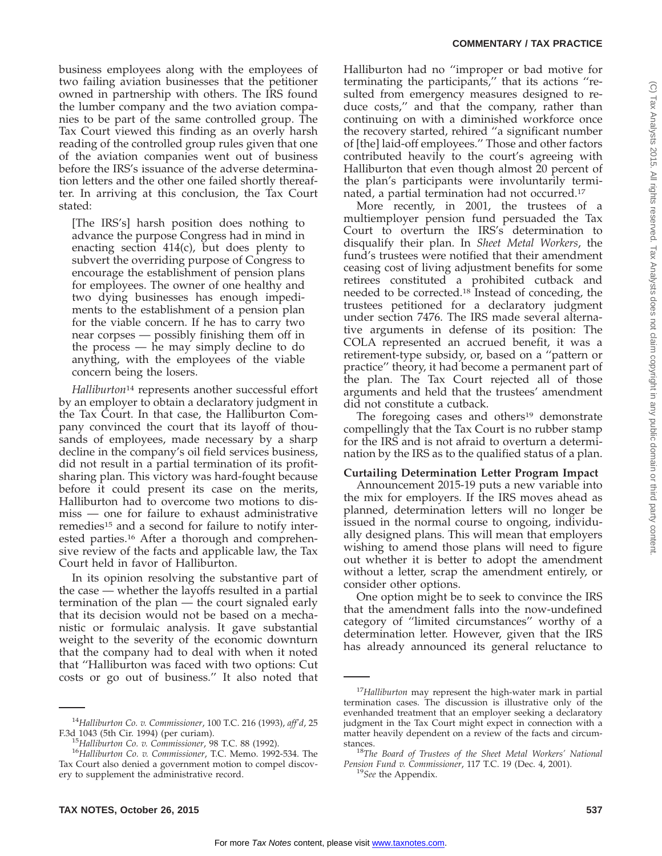#### **COMMENTARY / TAX PRACTICE**

business employees along with the employees of two failing aviation businesses that the petitioner owned in partnership with others. The IRS found the lumber company and the two aviation companies to be part of the same controlled group. The Tax Court viewed this finding as an overly harsh reading of the controlled group rules given that one of the aviation companies went out of business before the IRS's issuance of the adverse determination letters and the other one failed shortly thereafter. In arriving at this conclusion, the Tax Court stated:

[The IRS's] harsh position does nothing to advance the purpose Congress had in mind in enacting section 414(c), but does plenty to subvert the overriding purpose of Congress to encourage the establishment of pension plans for employees. The owner of one healthy and two dying businesses has enough impediments to the establishment of a pension plan for the viable concern. If he has to carry two near corpses — possibly finishing them off in the process — he may simply decline to do anything, with the employees of the viable concern being the losers.

*Halliburton*<sup>14</sup> represents another successful effort by an employer to obtain a declaratory judgment in the Tax Court. In that case, the Halliburton Company convinced the court that its layoff of thousands of employees, made necessary by a sharp decline in the company's oil field services business, did not result in a partial termination of its profitsharing plan. This victory was hard-fought because before it could present its case on the merits, Halliburton had to overcome two motions to dismiss — one for failure to exhaust administrative remedies<sup>15</sup> and a second for failure to notify interested parties.16 After a thorough and comprehensive review of the facts and applicable law, the Tax Court held in favor of Halliburton.

In its opinion resolving the substantive part of the case — whether the layoffs resulted in a partial termination of the plan — the court signaled early that its decision would not be based on a mechanistic or formulaic analysis. It gave substantial weight to the severity of the economic downturn that the company had to deal with when it noted that ''Halliburton was faced with two options: Cut costs or go out of business.'' It also noted that

Halliburton had no ''improper or bad motive for terminating the participants,'' that its actions ''resulted from emergency measures designed to reduce costs,'' and that the company, rather than continuing on with a diminished workforce once the recovery started, rehired ''a significant number of [the] laid-off employees.'' Those and other factors contributed heavily to the court's agreeing with Halliburton that even though almost 20 percent of the plan's participants were involuntarily terminated, a partial termination had not occurred.17

More recently, in 2001, the trustees of a multiemployer pension fund persuaded the Tax Court to overturn the IRS's determination to disqualify their plan. In *Sheet Metal Workers*, the fund's trustees were notified that their amendment ceasing cost of living adjustment benefits for some retirees constituted a prohibited cutback and needed to be corrected.18 Instead of conceding, the trustees petitioned for a declaratory judgment under section 7476. The IRS made several alternative arguments in defense of its position: The COLA represented an accrued benefit, it was a retirement-type subsidy, or, based on a ''pattern or practice'' theory, it had become a permanent part of the plan. The Tax Court rejected all of those arguments and held that the trustees' amendment did not constitute a cutback.

The foregoing cases and others<sup>19</sup> demonstrate compellingly that the Tax Court is no rubber stamp for the IRS and is not afraid to overturn a determination by the IRS as to the qualified status of a plan.

#### **Curtailing Determination Letter Program Impact**

Announcement 2015-19 puts a new variable into the mix for employers. If the IRS moves ahead as planned, determination letters will no longer be issued in the normal course to ongoing, individually designed plans. This will mean that employers wishing to amend those plans will need to figure out whether it is better to adopt the amendment without a letter, scrap the amendment entirely, or consider other options.

One option might be to seek to convince the IRS that the amendment falls into the now-undefined category of ''limited circumstances'' worthy of a determination letter. However, given that the IRS has already announced its general reluctance to

<sup>14</sup>*Halliburton Co. v. Commissioner*, 100 T.C. 216 (1993), *aff'd*, 25

F.3d 1043 (5th Cir. 1994) (per curiam). <sup>15</sup>*Halliburton Co. v. Commissioner*, 98 T.C. 88 (1992). <sup>16</sup>*Halliburton Co. v. Commissioner*, T.C. Memo. 1992-534. The Tax Court also denied a government motion to compel discovery to supplement the administrative record.

<sup>17</sup>*Halliburton* may represent the high-water mark in partial termination cases. The discussion is illustrative only of the evenhanded treatment that an employer seeking a declaratory judgment in the Tax Court might expect in connection with a matter heavily dependent on a review of the facts and circum-

stances. <sup>18</sup>*The Board of Trustees of the Sheet Metal Workers' National Pension Fund v. Commissioner*, 117 T.C. 19 (Dec. 4, 2001). <sup>19</sup>*See* the Appendix.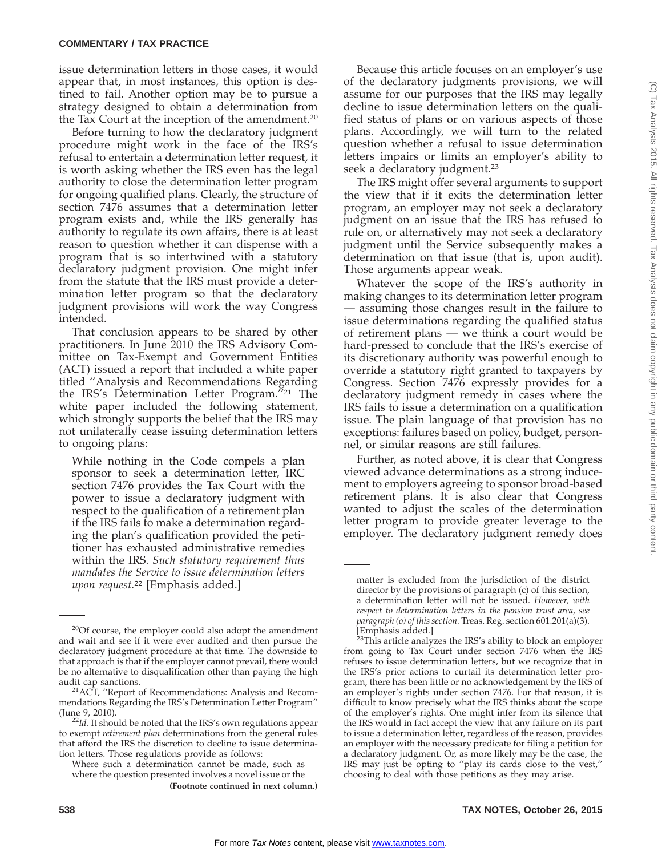issue determination letters in those cases, it would appear that, in most instances, this option is destined to fail. Another option may be to pursue a strategy designed to obtain a determination from the Tax Court at the inception of the amendment.20

Before turning to how the declaratory judgment procedure might work in the face of the IRS's refusal to entertain a determination letter request, it is worth asking whether the IRS even has the legal authority to close the determination letter program for ongoing qualified plans. Clearly, the structure of section 7476 assumes that a determination letter program exists and, while the IRS generally has authority to regulate its own affairs, there is at least reason to question whether it can dispense with a program that is so intertwined with a statutory declaratory judgment provision. One might infer from the statute that the IRS must provide a determination letter program so that the declaratory judgment provisions will work the way Congress intended.

That conclusion appears to be shared by other practitioners. In June 2010 the IRS Advisory Committee on Tax-Exempt and Government Entities (ACT) issued a report that included a white paper titled ''Analysis and Recommendations Regarding the IRS's Determination Letter Program.''21 The white paper included the following statement, which strongly supports the belief that the IRS may not unilaterally cease issuing determination letters to ongoing plans:

While nothing in the Code compels a plan sponsor to seek a determination letter, IRC section 7476 provides the Tax Court with the power to issue a declaratory judgment with respect to the qualification of a retirement plan if the IRS fails to make a determination regarding the plan's qualification provided the petitioner has exhausted administrative remedies within the IRS. *Such statutory requirement thus mandates the Service to issue determination letters upon request.*<sup>22</sup> [Emphasis added.]

Because this article focuses on an employer's use of the declaratory judgments provisions, we will assume for our purposes that the IRS may legally decline to issue determination letters on the qualified status of plans or on various aspects of those plans. Accordingly, we will turn to the related question whether a refusal to issue determination letters impairs or limits an employer's ability to seek a declaratory judgment.<sup>23</sup>

The IRS might offer several arguments to support the view that if it exits the determination letter program, an employer may not seek a declaratory judgment on an issue that the IRS has refused to rule on, or alternatively may not seek a declaratory judgment until the Service subsequently makes a determination on that issue (that is, upon audit). Those arguments appear weak.

Whatever the scope of the IRS's authority in making changes to its determination letter program — assuming those changes result in the failure to issue determinations regarding the qualified status of retirement plans — we think a court would be hard-pressed to conclude that the IRS's exercise of its discretionary authority was powerful enough to override a statutory right granted to taxpayers by Congress. Section 7476 expressly provides for a declaratory judgment remedy in cases where the IRS fails to issue a determination on a qualification issue. The plain language of that provision has no exceptions: failures based on policy, budget, personnel, or similar reasons are still failures.

Further, as noted above, it is clear that Congress viewed advance determinations as a strong inducement to employers agreeing to sponsor broad-based retirement plans. It is also clear that Congress wanted to adjust the scales of the determination letter program to provide greater leverage to the employer. The declaratory judgment remedy does

<sup>&</sup>lt;sup>20</sup>Of course, the employer could also adopt the amendment and wait and see if it were ever audited and then pursue the declaratory judgment procedure at that time. The downside to that approach is that if the employer cannot prevail, there would be no alternative to disqualification other than paying the high

 $21$ ACT, "Report of Recommendations: Analysis and Recommendations Regarding the IRS's Determination Letter Program''

<sup>&</sup>lt;sup>22</sup>*Id*. It should be noted that the IRS's own regulations appear to exempt *retirement plan* determinations from the general rules that afford the IRS the discretion to decline to issue determination letters. Those regulations provide as follows:

Where such a determination cannot be made, such as where the question presented involves a novel issue or the **(Footnote continued in next column.)**

matter is excluded from the jurisdiction of the district director by the provisions of paragraph (c) of this section, a determination letter will not be issued. *However, with respect to determination letters in the pension trust area, see paragraph (o) of this section.* Treas. Reg. section 601.201(a)(3). [Emphasis added.]

 $23$ This article analyzes the IRS's ability to block an employer from going to Tax Court under section 7476 when the IRS refuses to issue determination letters, but we recognize that in the IRS's prior actions to curtail its determination letter program, there has been little or no acknowledgement by the IRS of an employer's rights under section 7476. For that reason, it is difficult to know precisely what the IRS thinks about the scope of the employer's rights. One might infer from its silence that the IRS would in fact accept the view that any failure on its part to issue a determination letter, regardless of the reason, provides an employer with the necessary predicate for filing a petition for a declaratory judgment. Or, as more likely may be the case, the IRS may just be opting to ''play its cards close to the vest,'' choosing to deal with those petitions as they may arise.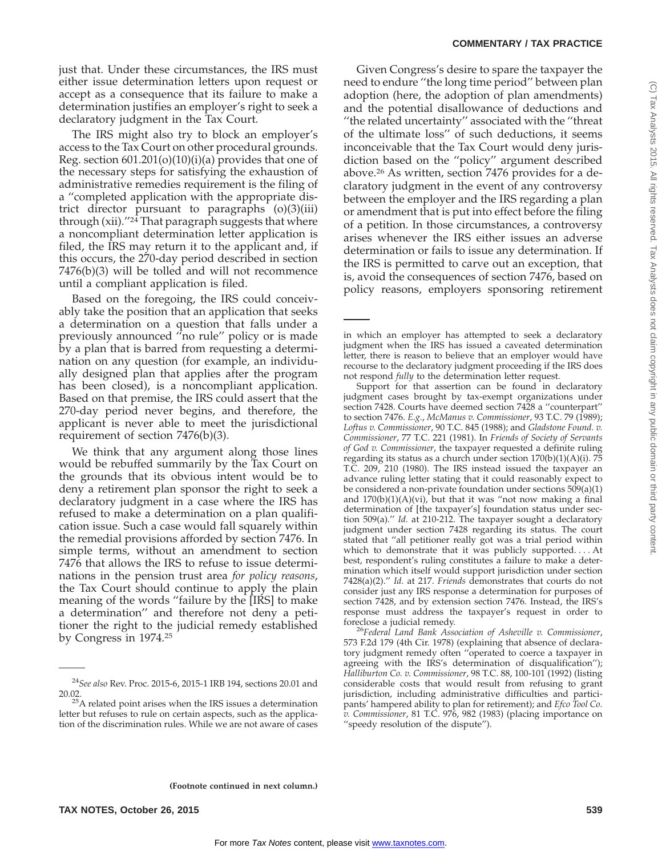just that. Under these circumstances, the IRS must either issue determination letters upon request or accept as a consequence that its failure to make a determination justifies an employer's right to seek a declaratory judgment in the Tax Court.

The IRS might also try to block an employer's access to the Tax Court on other procedural grounds. Reg. section  $601.201(o)(10)(i)(a)$  provides that one of the necessary steps for satisfying the exhaustion of administrative remedies requirement is the filing of a ''completed application with the appropriate district director pursuant to paragraphs (o)(3)(iii) through (xii). $1/24$  That paragraph suggests that where a noncompliant determination letter application is filed, the IRS may return it to the applicant and, if this occurs, the 270-day period described in section 7476(b)(3) will be tolled and will not recommence until a compliant application is filed.

Based on the foregoing, the IRS could conceivably take the position that an application that seeks a determination on a question that falls under a previously announced ''no rule'' policy or is made by a plan that is barred from requesting a determination on any question (for example, an individually designed plan that applies after the program has been closed), is a noncompliant application. Based on that premise, the IRS could assert that the 270-day period never begins, and therefore, the applicant is never able to meet the jurisdictional requirement of section 7476(b)(3).

We think that any argument along those lines would be rebuffed summarily by the Tax Court on the grounds that its obvious intent would be to deny a retirement plan sponsor the right to seek a declaratory judgment in a case where the IRS has refused to make a determination on a plan qualification issue. Such a case would fall squarely within the remedial provisions afforded by section 7476. In simple terms, without an amendment to section 7476 that allows the IRS to refuse to issue determinations in the pension trust area *for policy reasons*, the Tax Court should continue to apply the plain meaning of the words ''failure by the [IRS] to make a determination'' and therefore not deny a petitioner the right to the judicial remedy established by Congress in 1974.25

Given Congress's desire to spare the taxpayer the need to endure ''the long time period'' between plan adoption (here, the adoption of plan amendments) and the potential disallowance of deductions and ''the related uncertainty'' associated with the ''threat of the ultimate loss'' of such deductions, it seems inconceivable that the Tax Court would deny jurisdiction based on the ''policy'' argument described above.26 As written, section 7476 provides for a declaratory judgment in the event of any controversy between the employer and the IRS regarding a plan or amendment that is put into effect before the filing of a petition. In those circumstances, a controversy arises whenever the IRS either issues an adverse determination or fails to issue any determination. If the IRS is permitted to carve out an exception, that is, avoid the consequences of section 7476, based on policy reasons, employers sponsoring retirement

Support for that assertion can be found in declaratory judgment cases brought by tax-exempt organizations under section 7428. Courts have deemed section 7428 a ''counterpart'' to section 7476. *E.g.*, *McManus v. Commissioner*, 93 T.C. 79 (1989); *Loftus v. Commissioner*, 90 T.C. 845 (1988); and *Gladstone Found. v. Commissioner*, 77 T.C. 221 (1981). In *Friends of Society of Servants of God v. Commissioner*, the taxpayer requested a definite ruling regarding its status as a church under section  $170(b)(1)(A)(i)$ . 75 T.C. 209, 210 (1980). The IRS instead issued the taxpayer an advance ruling letter stating that it could reasonably expect to be considered a non-private foundation under sections 509(a)(1) and  $170(b)(1)(A)(vi)$ , but that it was "not now making a final determination of [the taxpayer's] foundation status under section 509(a).'' *Id.* at 210-212. The taxpayer sought a declaratory judgment under section 7428 regarding its status. The court stated that ''all petitioner really got was a trial period within which to demonstrate that it was publicly supported. . . . At best, respondent's ruling constitutes a failure to make a determination which itself would support jurisdiction under section 7428(a)(2).'' *Id.* at 217. *Friends* demonstrates that courts do not consider just any IRS response a determination for purposes of section 7428, and by extension section 7476. Instead, the IRS's response must address the taxpayer's request in order to

foreclose a judicial remedy. <sup>26</sup>*Federal Land Bank Association of Asheville v. Commissioner*, 573 F.2d 179 (4th Cir. 1978) (explaining that absence of declaratory judgment remedy often ''operated to coerce a taxpayer in agreeing with the IRS's determination of disqualification''); *Halliburton Co. v. Commissioner*, 98 T.C. 88, 100-101 (1992) (listing considerable costs that would result from refusing to grant jurisdiction, including administrative difficulties and participants' hampered ability to plan for retirement); and *Efco Tool Co. v. Commissioner*, 81 T.C. 976, 982 (1983) (placing importance on ''speedy resolution of the dispute'').

<sup>24</sup>*See also* Rev. Proc. 2015-6, 2015-1 IRB 194, sections 20.01 and

 $^{25}$ A related point arises when the IRS issues a determination letter but refuses to rule on certain aspects, such as the application of the discrimination rules. While we are not aware of cases

in which an employer has attempted to seek a declaratory judgment when the IRS has issued a caveated determination letter, there is reason to believe that an employer would have recourse to the declaratory judgment proceeding if the IRS does not respond *fully* to the determination letter request.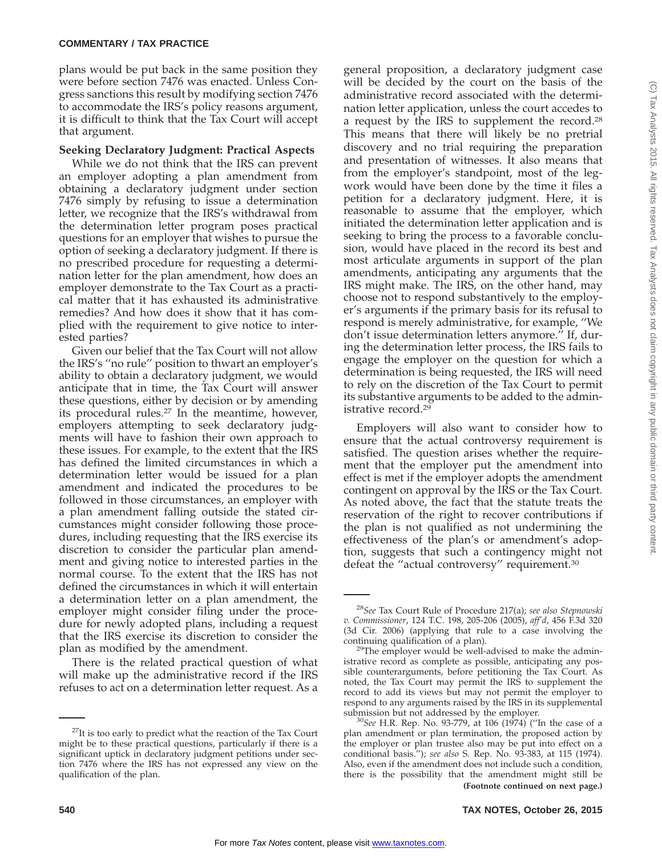plans would be put back in the same position they were before section 7476 was enacted. Unless Congress sanctions this result by modifying section 7476 to accommodate the IRS's policy reasons argument, it is difficult to think that the Tax Court will accept that argument.

# **Seeking Declaratory Judgment: Practical Aspects**

While we do not think that the IRS can prevent an employer adopting a plan amendment from obtaining a declaratory judgment under section 7476 simply by refusing to issue a determination letter, we recognize that the IRS's withdrawal from the determination letter program poses practical questions for an employer that wishes to pursue the option of seeking a declaratory judgment. If there is no prescribed procedure for requesting a determination letter for the plan amendment, how does an employer demonstrate to the Tax Court as a practical matter that it has exhausted its administrative remedies? And how does it show that it has complied with the requirement to give notice to interested parties?

Given our belief that the Tax Court will not allow the IRS's ''no rule'' position to thwart an employer's ability to obtain a declaratory judgment, we would anticipate that in time, the Tax Court will answer these questions, either by decision or by amending its procedural rules.27 In the meantime, however, employers attempting to seek declaratory judgments will have to fashion their own approach to these issues. For example, to the extent that the IRS has defined the limited circumstances in which a determination letter would be issued for a plan amendment and indicated the procedures to be followed in those circumstances, an employer with a plan amendment falling outside the stated circumstances might consider following those procedures, including requesting that the IRS exercise its discretion to consider the particular plan amendment and giving notice to interested parties in the normal course. To the extent that the IRS has not defined the circumstances in which it will entertain a determination letter on a plan amendment, the employer might consider filing under the procedure for newly adopted plans, including a request that the IRS exercise its discretion to consider the plan as modified by the amendment.

There is the related practical question of what will make up the administrative record if the IRS refuses to act on a determination letter request. As a

general proposition, a declaratory judgment case will be decided by the court on the basis of the administrative record associated with the determination letter application, unless the court accedes to a request by the IRS to supplement the record.28 This means that there will likely be no pretrial discovery and no trial requiring the preparation and presentation of witnesses. It also means that from the employer's standpoint, most of the legwork would have been done by the time it files a petition for a declaratory judgment. Here, it is reasonable to assume that the employer, which initiated the determination letter application and is seeking to bring the process to a favorable conclusion, would have placed in the record its best and most articulate arguments in support of the plan amendments, anticipating any arguments that the IRS might make. The IRS, on the other hand, may choose not to respond substantively to the employer's arguments if the primary basis for its refusal to respond is merely administrative, for example, ''We don't issue determination letters anymore.'' If, during the determination letter process, the IRS fails to engage the employer on the question for which a determination is being requested, the IRS will need to rely on the discretion of the Tax Court to permit its substantive arguments to be added to the administrative record.29

Employers will also want to consider how to ensure that the actual controversy requirement is satisfied. The question arises whether the requirement that the employer put the amendment into effect is met if the employer adopts the amendment contingent on approval by the IRS or the Tax Court. As noted above, the fact that the statute treats the reservation of the right to recover contributions if the plan is not qualified as not undermining the effectiveness of the plan's or amendment's adoption, suggests that such a contingency might not defeat the "actual controversy" requirement.<sup>30</sup>

 $^{27}$ It is too early to predict what the reaction of the Tax Court might be to these practical questions, particularly if there is a significant uptick in declaratory judgment petitions under section 7476 where the IRS has not expressed any view on the qualification of the plan.

<sup>28</sup>*See* Tax Court Rule of Procedure 217(a); *see also Stepnowski v. Commissioner*, 124 T.C. 198, 205-206 (2005), *aff'd*, 456 F.3d 320 (3d Cir. 2006) (applying that rule to a case involving the continuing qualification of a plan).

 $29$ The employer would be well-advised to make the administrative record as complete as possible, anticipating any possible counterarguments, before petitioning the Tax Court. As noted, the Tax Court may permit the IRS to supplement the record to add its views but may not permit the employer to respond to any arguments raised by the IRS in its supplemental

<sup>&</sup>lt;sup>30</sup>See H.R. Rep. No. 93-779, at 106 (1974) ("In the case of a plan amendment or plan termination, the proposed action by the employer or plan trustee also may be put into effect on a conditional basis.''); *see also* S. Rep. No. 93-383, at 115 (1974). Also, even if the amendment does not include such a condition, there is the possibility that the amendment might still be **(Footnote continued on next page.)**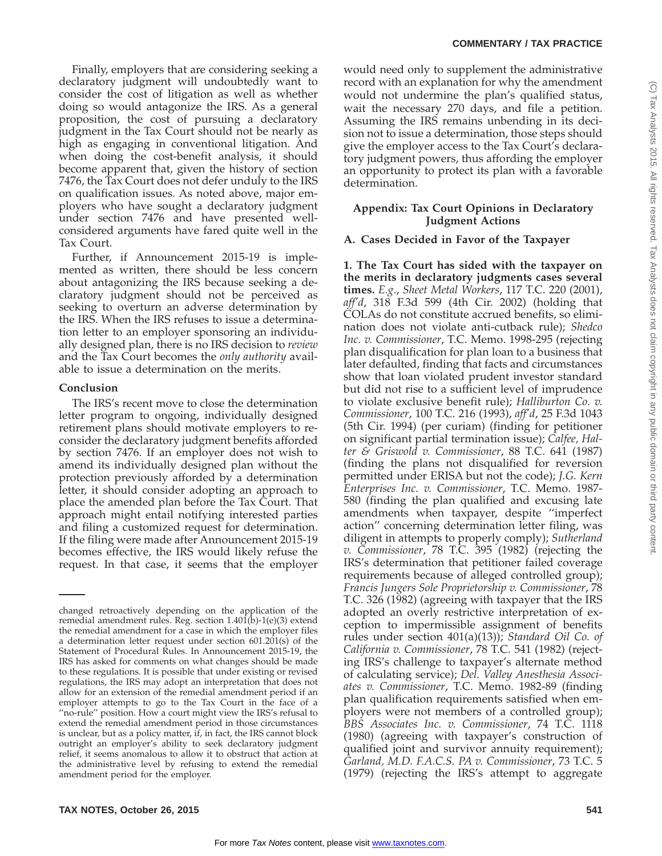Finally, employers that are considering seeking a declaratory judgment will undoubtedly want to consider the cost of litigation as well as whether doing so would antagonize the IRS. As a general proposition, the cost of pursuing a declaratory judgment in the Tax Court should not be nearly as high as engaging in conventional litigation. And when doing the cost-benefit analysis, it should become apparent that, given the history of section 7476, the Tax Court does not defer unduly to the IRS on qualification issues. As noted above, major employers who have sought a declaratory judgment under section 7476 and have presented wellconsidered arguments have fared quite well in the Tax Court.

Further, if Announcement 2015-19 is implemented as written, there should be less concern about antagonizing the IRS because seeking a declaratory judgment should not be perceived as seeking to overturn an adverse determination by the IRS. When the IRS refuses to issue a determination letter to an employer sponsoring an individually designed plan, there is no IRS decision to *review* and the Tax Court becomes the *only authority* available to issue a determination on the merits.

#### **Conclusion**

The IRS's recent move to close the determination letter program to ongoing, individually designed retirement plans should motivate employers to reconsider the declaratory judgment benefits afforded by section 7476. If an employer does not wish to amend its individually designed plan without the protection previously afforded by a determination letter, it should consider adopting an approach to place the amended plan before the Tax Court. That approach might entail notifying interested parties and filing a customized request for determination. If the filing were made after Announcement 2015-19 becomes effective, the IRS would likely refuse the request. In that case, it seems that the employer would need only to supplement the administrative record with an explanation for why the amendment would not undermine the plan's qualified status, wait the necessary 270 days, and file a petition. Assuming the IRS remains unbending in its decision not to issue a determination, those steps should give the employer access to the Tax Court's declaratory judgment powers, thus affording the employer an opportunity to protect its plan with a favorable determination.

# **Appendix: Tax Court Opinions in Declaratory Judgment Actions**

# **A. Cases Decided in Favor of the Taxpayer**

**1. The Tax Court has sided with the taxpayer on the merits in declaratory judgments cases several times.** *E.g.*, *Sheet Metal Workers*, 117 T.C. 220 (2001), *aff'd*, 318 F.3d 599 (4th Cir. 2002) (holding that COLAs do not constitute accrued benefits, so elimination does not violate anti-cutback rule); *Shedco Inc. v. Commissioner*, T.C. Memo. 1998-295 (rejecting plan disqualification for plan loan to a business that later defaulted, finding that facts and circumstances show that loan violated prudent investor standard but did not rise to a sufficient level of imprudence to violate exclusive benefit rule); *Halliburton Co. v. Commissioner*, 100 T.C. 216 (1993), *aff'd*, 25 F.3d 1043 (5th Cir. 1994) (per curiam) (finding for petitioner on significant partial termination issue); *Calfee, Halter & Griswold v. Commissioner*, 88 T.C. 641 (1987) (finding the plans not disqualified for reversion permitted under ERISA but not the code); *J.G. Kern Enterprises Inc. v. Commissioner*, T.C. Memo. 1987- 580 (finding the plan qualified and excusing late amendments when taxpayer, despite ''imperfect action'' concerning determination letter filing, was diligent in attempts to properly comply); *Sutherland v. Commissioner*, 78 T.C. 395 (1982) (rejecting the IRS's determination that petitioner failed coverage requirements because of alleged controlled group); *Francis Jungers Sole Proprietorship v. Commissioner*, 78 T.C. 326 (1982) (agreeing with taxpayer that the IRS adopted an overly restrictive interpretation of exception to impermissible assignment of benefits rules under section 401(a)(13)); *Standard Oil Co. of California v. Commissioner*, 78 T.C. 541 (1982) (rejecting IRS's challenge to taxpayer's alternate method of calculating service); *Del. Valley Anesthesia Associates v. Commissioner*, T.C. Memo. 1982-89 (finding plan qualification requirements satisfied when employers were not members of a controlled group); *BBS Associates Inc. v. Commissioner*, 74 T.C. 1118 (1980) (agreeing with taxpayer's construction of qualified joint and survivor annuity requirement); *Garland, M.D. F.A.C.S. PA v. Commissioner*, 73 T.C. 5 (1979) (rejecting the IRS's attempt to aggregate

changed retroactively depending on the application of the remedial amendment rules. Reg. section  $1.401(b)$ -1(e)(3) extend the remedial amendment for a case in which the employer files a determination letter request under section 601.201(s) of the Statement of Procedural Rules. In Announcement 2015-19, the IRS has asked for comments on what changes should be made to these regulations. It is possible that under existing or revised regulations, the IRS may adopt an interpretation that does not allow for an extension of the remedial amendment period if an employer attempts to go to the Tax Court in the face of a "no-rule" position. How a court might view the IRS's refusal to extend the remedial amendment period in those circumstances is unclear, but as a policy matter, if, in fact, the IRS cannot block outright an employer's ability to seek declaratory judgment relief, it seems anomalous to allow it to obstruct that action at the administrative level by refusing to extend the remedial amendment period for the employer.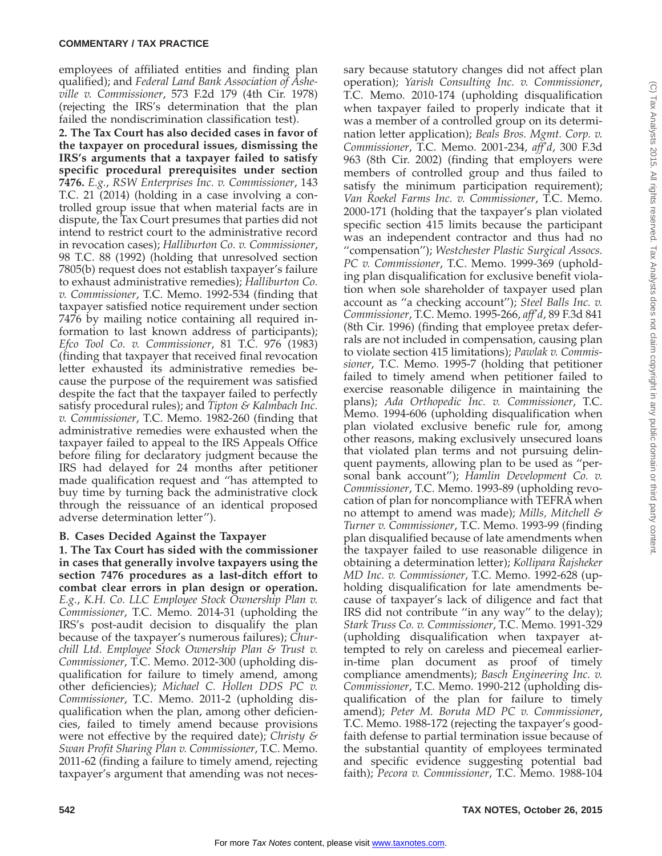employees of affiliated entities and finding plan qualified); and *Federal Land Bank Association of Asheville v. Commissioner*, 573 F.2d 179 (4th Cir. 1978) (rejecting the IRS's determination that the plan failed the nondiscrimination classification test).

**2. The Tax Court has also decided cases in favor of the taxpayer on procedural issues, dismissing the IRS's arguments that a taxpayer failed to satisfy specific procedural prerequisites under section 7476.** *E.g.*, *RSW Enterprises Inc. v. Commissioner*, 143 T.C. 21 (2014) (holding in a case involving a controlled group issue that when material facts are in dispute, the Tax Court presumes that parties did not intend to restrict court to the administrative record in revocation cases); *Halliburton Co. v. Commissioner*, 98 T.C. 88 (1992) (holding that unresolved section 7805(b) request does not establish taxpayer's failure to exhaust administrative remedies); *Halliburton Co. v. Commissioner*, T.C. Memo. 1992-534 (finding that taxpayer satisfied notice requirement under section 7476 by mailing notice containing all required information to last known address of participants); *Efco Tool Co. v. Commissioner*, 81 T.C. 976 (1983) (finding that taxpayer that received final revocation letter exhausted its administrative remedies because the purpose of the requirement was satisfied despite the fact that the taxpayer failed to perfectly satisfy procedural rules); and *Tipton & Kalmbach Inc. v. Commissioner*, T.C. Memo. 1982-260 (finding that administrative remedies were exhausted when the taxpayer failed to appeal to the IRS Appeals Office before filing for declaratory judgment because the IRS had delayed for 24 months after petitioner made qualification request and ''has attempted to buy time by turning back the administrative clock through the reissuance of an identical proposed adverse determination letter'').

# **B. Cases Decided Against the Taxpayer**

**1. The Tax Court has sided with the commissioner in cases that generally involve taxpayers using the section 7476 procedures as a last-ditch effort to combat clear errors in plan design or operation.** *E.g.*, *K.H. Co. LLC Employee Stock Ownership Plan v. Commissioner*, T.C. Memo. 2014-31 (upholding the IRS's post-audit decision to disqualify the plan because of the taxpayer's numerous failures); *Churchill Ltd. Employee Stock Ownership Plan & Trust v. Commissioner*, T.C. Memo. 2012-300 (upholding disqualification for failure to timely amend, among other deficiencies); *Michael C. Hollen DDS PC v. Commissioner*, T.C. Memo. 2011-2 (upholding disqualification when the plan, among other deficiencies, failed to timely amend because provisions were not effective by the required date); *Christy & Swan Profit Sharing Plan v. Commissioner*, T.C. Memo. 2011-62 (finding a failure to timely amend, rejecting taxpayer's argument that amending was not necessary because statutory changes did not affect plan operation); *Yarish Consulting Inc. v. Commissioner*, T.C. Memo. 2010-174 (upholding disqualification when taxpayer failed to properly indicate that it was a member of a controlled group on its determination letter application); *Beals Bros. Mgmt. Corp. v. Commissioner*, T.C. Memo. 2001-234, *aff'd*, 300 F.3d 963 (8th Cir. 2002) (finding that employers were members of controlled group and thus failed to satisfy the minimum participation requirement); *Van Roekel Farms Inc. v. Commissioner*, T.C. Memo. 2000-171 (holding that the taxpayer's plan violated specific section 415 limits because the participant was an independent contractor and thus had no ''compensation''); *Westchester Plastic Surgical Assocs. PC v. Commissioner*, T.C. Memo. 1999-369 (upholding plan disqualification for exclusive benefit violation when sole shareholder of taxpayer used plan account as ''a checking account''); *Steel Balls Inc. v. Commissioner*, T.C. Memo. 1995-266, *aff'd*, 89 F.3d 841 (8th Cir. 1996) (finding that employee pretax deferrals are not included in compensation, causing plan to violate section 415 limitations); *Pawlak v. Commissioner*, T.C. Memo. 1995-7 (holding that petitioner failed to timely amend when petitioner failed to exercise reasonable diligence in maintaining the plans); *Ada Orthopedic Inc. v. Commissioner*, T.C. Memo. 1994-606 (upholding disqualification when plan violated exclusive benefic rule for, among other reasons, making exclusively unsecured loans that violated plan terms and not pursuing delinquent payments, allowing plan to be used as ''personal bank account''); *Hamlin Development Co. v. Commissioner*, T.C. Memo. 1993-89 (upholding revocation of plan for noncompliance with TEFRA when no attempt to amend was made); *Mills, Mitchell & Turner v. Commissioner*, T.C. Memo. 1993-99 (finding plan disqualified because of late amendments when the taxpayer failed to use reasonable diligence in obtaining a determination letter); *Kollipara Rajsheker MD Inc. v. Commissioner*, T.C. Memo. 1992-628 (upholding disqualification for late amendments because of taxpayer's lack of diligence and fact that IRS did not contribute ''in any way'' to the delay); *Stark Truss Co. v. Commissioner*, T.C. Memo. 1991-329 (upholding disqualification when taxpayer attempted to rely on careless and piecemeal earlierin-time plan document as proof of timely compliance amendments); *Basch Engineering Inc. v. Commissioner*, T.C. Memo. 1990-212 (upholding disqualification of the plan for failure to timely amend); *Peter M. Boruta MD PC v. Commissioner*, T.C. Memo. 1988-172 (rejecting the taxpayer's goodfaith defense to partial termination issue because of the substantial quantity of employees terminated and specific evidence suggesting potential bad faith); *Pecora v. Commissioner*, T.C. Memo. 1988-104